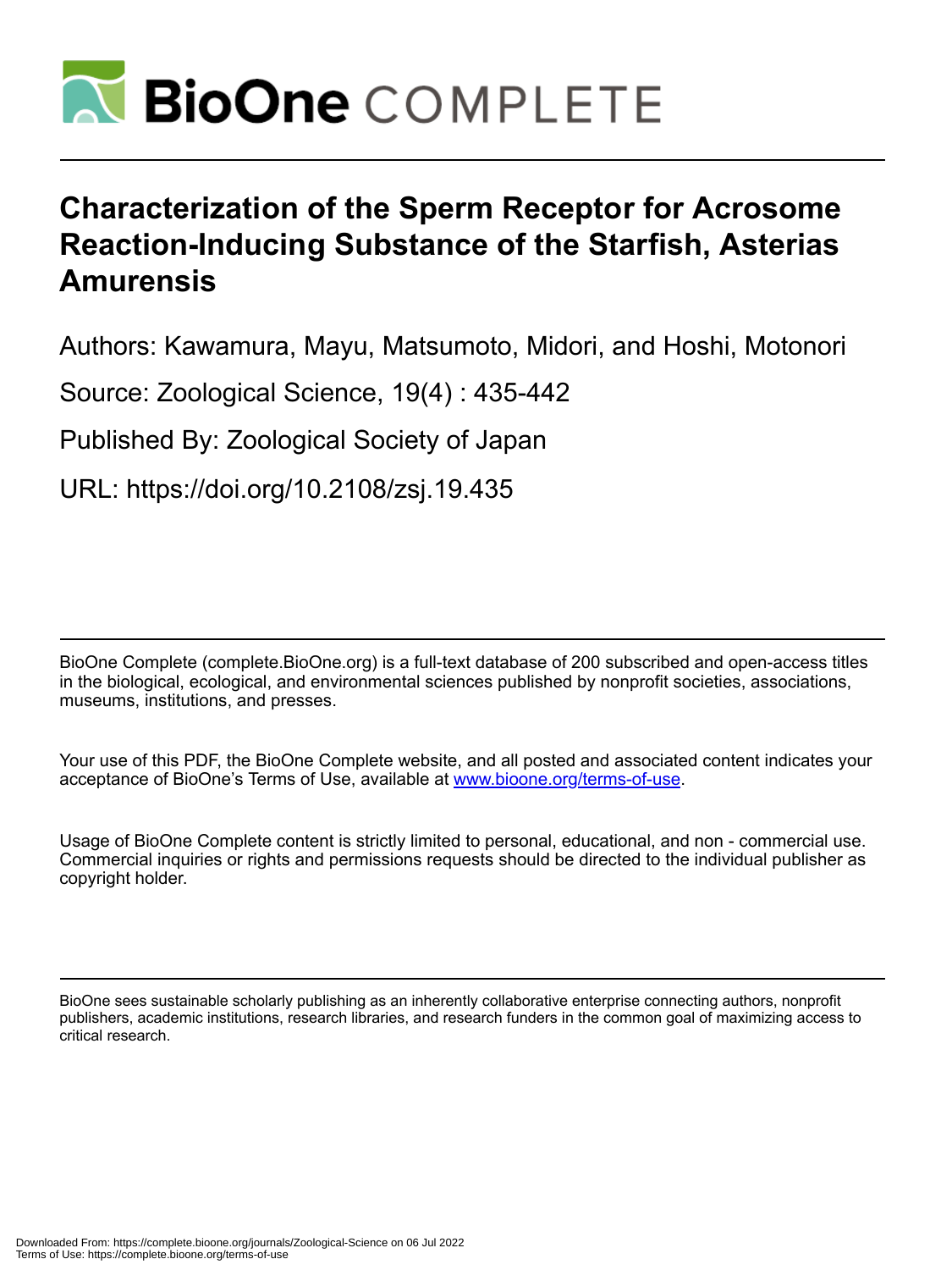

# **Characterization of the Sperm Receptor for Acrosome Reaction-Inducing Substance of the Starfish, Asterias Amurensis**

Authors: Kawamura, Mayu, Matsumoto, Midori, and Hoshi, Motonori

Source: Zoological Science, 19(4) : 435-442

Published By: Zoological Society of Japan

URL: https://doi.org/10.2108/zsj.19.435

BioOne Complete (complete.BioOne.org) is a full-text database of 200 subscribed and open-access titles in the biological, ecological, and environmental sciences published by nonprofit societies, associations, museums, institutions, and presses.

Your use of this PDF, the BioOne Complete website, and all posted and associated content indicates your acceptance of BioOne's Terms of Use, available at www.bioone.org/terms-of-use.

Usage of BioOne Complete content is strictly limited to personal, educational, and non - commercial use. Commercial inquiries or rights and permissions requests should be directed to the individual publisher as copyright holder.

BioOne sees sustainable scholarly publishing as an inherently collaborative enterprise connecting authors, nonprofit publishers, academic institutions, research libraries, and research funders in the common goal of maximizing access to critical research.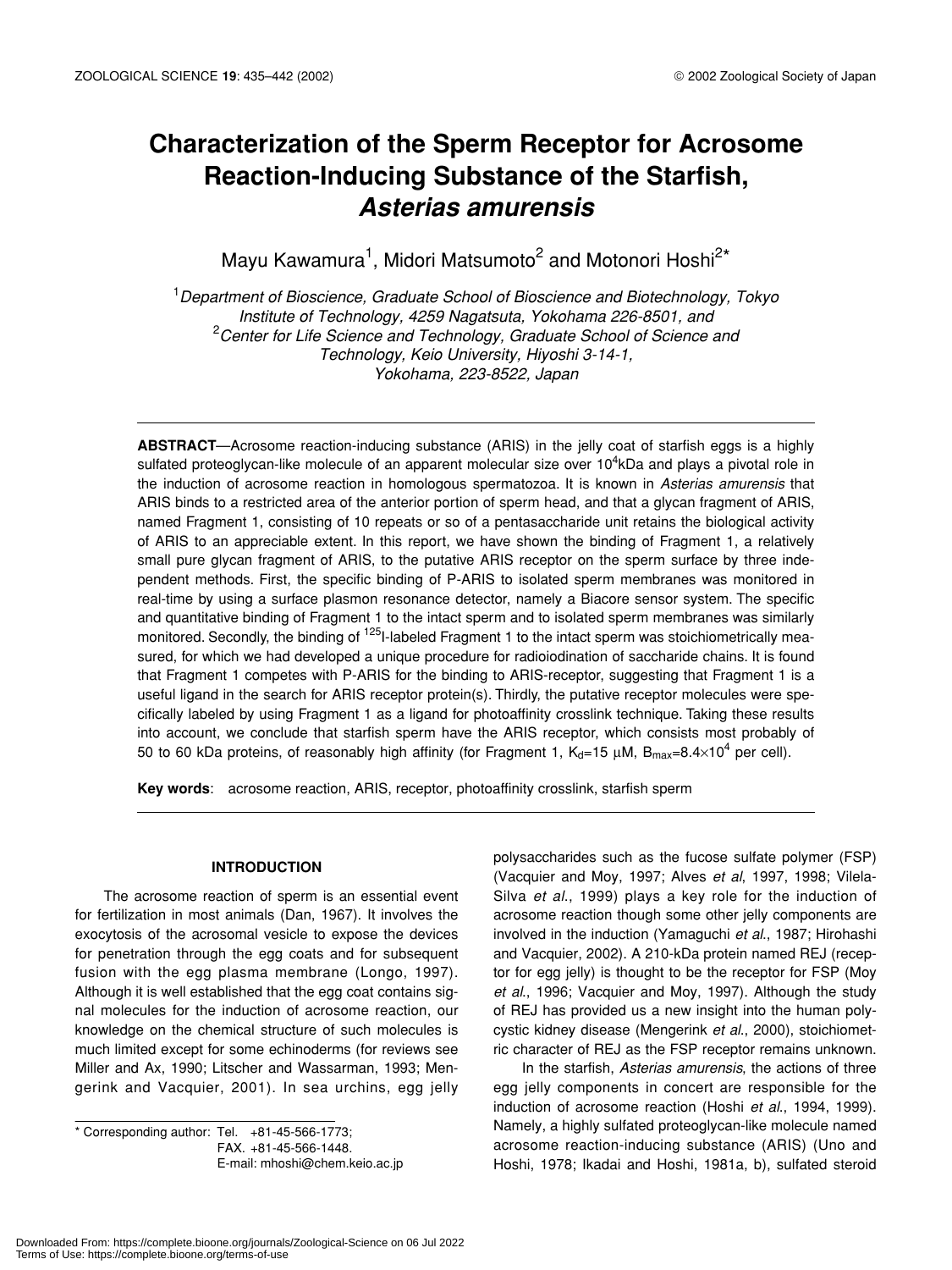## **Characterization of the Sperm Receptor for Acrosome Reaction-Inducing Substance of the Starfish,** *Asterias amurensis*

Mayu Kawamura<sup>1</sup>, Midori Matsumoto<sup>2</sup> and Motonori Hoshi<sup>2\*</sup>

1 *Department of Bioscience, Graduate School of Bioscience and Biotechnology, Tokyo Institute of Technology, 4259 Nagatsuta, Yokohama 226-8501, and*  2 *Center for Life Science and Technology, Graduate School of Science and Technology, Keio University, Hiyoshi 3-14-1, Yokohama, 223-8522, Japan*

**ABSTRACT**—Acrosome reaction-inducing substance (ARIS) in the jelly coat of starfish eggs is a highly sulfated proteoglycan-like molecule of an apparent molecular size over 10<sup>4</sup>kDa and plays a pivotal role in the induction of acrosome reaction in homologous spermatozoa. It is known in *Asterias amurensis* that ARIS binds to a restricted area of the anterior portion of sperm head, and that a glycan fragment of ARIS, named Fragment 1, consisting of 10 repeats or so of a pentasaccharide unit retains the biological activity of ARIS to an appreciable extent. In this report, we have shown the binding of Fragment 1, a relatively small pure glycan fragment of ARIS, to the putative ARIS receptor on the sperm surface by three independent methods. First, the specific binding of P-ARIS to isolated sperm membranes was monitored in real-time by using a surface plasmon resonance detector, namely a Biacore sensor system. The specific and quantitative binding of Fragment 1 to the intact sperm and to isolated sperm membranes was similarly monitored. Secondly, the binding of <sup>125</sup>I-labeled Fragment 1 to the intact sperm was stoichiometrically measured, for which we had developed a unique procedure for radioiodination of saccharide chains. It is found that Fragment 1 competes with P-ARIS for the binding to ARIS-receptor, suggesting that Fragment 1 is a useful ligand in the search for ARIS receptor protein(s). Thirdly, the putative receptor molecules were specifically labeled by using Fragment 1 as a ligand for photoaffinity crosslink technique. Taking these results into account, we conclude that starfish sperm have the ARIS receptor, which consists most probably of 50 to 60 kDa proteins, of reasonably high affinity (for Fragment 1, K<sub>d</sub>=15 µM, B<sub>max</sub>=8.4×10<sup>4</sup> per cell).

**Key words**: acrosome reaction, ARIS, receptor, photoaffinity crosslink, starfish sperm

## **INTRODUCTION**

The acrosome reaction of sperm is an essential event for fertilization in most animals (Dan, 1967). It involves the exocytosis of the acrosomal vesicle to expose the devices for penetration through the egg coats and for subsequent fusion with the egg plasma membrane (Longo, 1997). Although it is well established that the egg coat contains signal molecules for the induction of acrosome reaction, our knowledge on the chemical structure of such molecules is much limited except for some echinoderms (for reviews see Miller and Ax, 1990; Litscher and Wassarman, 1993; Mengerink and Vacquier, 2001). In sea urchins, egg jelly

\* Corresponding author: Tel. +81-45-566-1773; FAX. +81-45-566-1448. E-mail: mhoshi@chem.keio.ac.jp polysaccharides such as the fucose sulfate polymer (FSP) (Vacquier and Moy, 1997; Alves *et al*, 1997, 1998; Vilela-Silva *et al*., 1999) plays a key role for the induction of acrosome reaction though some other jelly components are involved in the induction (Yamaguchi *et al*., 1987; Hirohashi and Vacquier, 2002). A 210-kDa protein named REJ (receptor for egg jelly) is thought to be the receptor for FSP (Moy *et al*., 1996; Vacquier and Moy, 1997). Although the study of REJ has provided us a new insight into the human polycystic kidney disease (Mengerink *et al*., 2000), stoichiometric character of REJ as the FSP receptor remains unknown.

In the starfish, *Asterias amurensis*, the actions of three egg jelly components in concert are responsible for the induction of acrosome reaction (Hoshi *et al*., 1994, 1999). Namely, a highly sulfated proteoglycan-like molecule named acrosome reaction-inducing substance (ARIS) (Uno and Hoshi, 1978; Ikadai and Hoshi, 1981a, b), sulfated steroid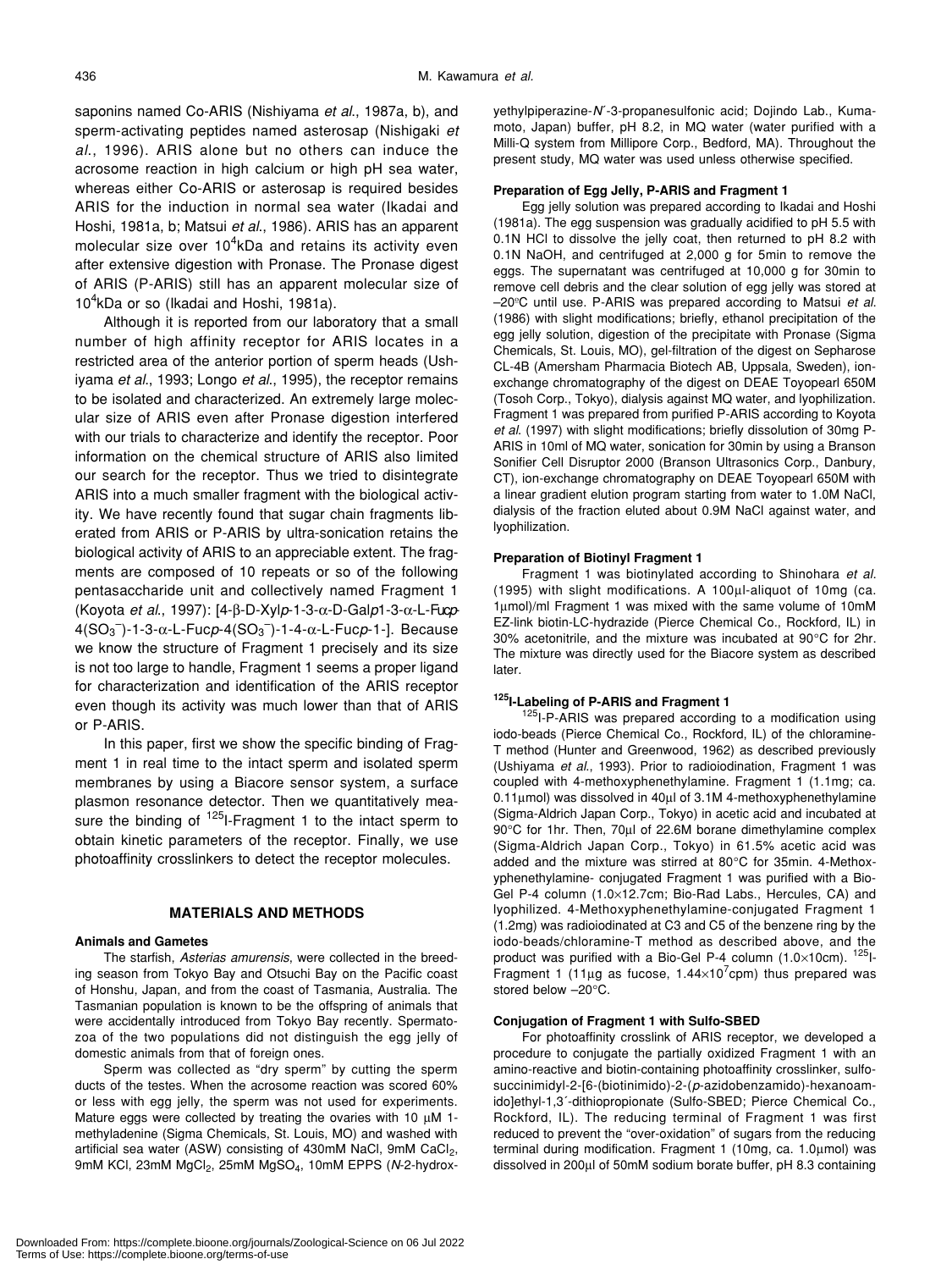saponins named Co-ARIS (Nishiyama *et al*., 1987a, b), and sperm-activating peptides named asterosap (Nishigaki *et al*., 1996). ARIS alone but no others can induce the acrosome reaction in high calcium or high pH sea water, whereas either Co-ARIS or asterosap is required besides ARIS for the induction in normal sea water (Ikadai and Hoshi, 1981a, b; Matsui *et al*., 1986). ARIS has an apparent molecular size over 10 $^4$ kDa and retains its activity even after extensive digestion with Pronase. The Pronase digest of ARIS (P-ARIS) still has an apparent molecular size of 10<sup>4</sup>kDa or so (Ikadai and Hoshi, 1981a).

Although it is reported from our laboratory that a small number of high affinity receptor for ARIS locates in a restricted area of the anterior portion of sperm heads (Ushiyama *et al*., 1993; Longo *et al*., 1995), the receptor remains to be isolated and characterized. An extremely large molecular size of ARIS even after Pronase digestion interfered with our trials to characterize and identify the receptor. Poor information on the chemical structure of ARIS also limited our search for the receptor. Thus we tried to disintegrate ARIS into a much smaller fragment with the biological activity. We have recently found that sugar chain fragments liberated from ARIS or P-ARIS by ultra-sonication retains the biological activity of ARIS to an appreciable extent. The fragments are composed of 10 repeats or so of the following pentasaccharide unit and collectively named Fragment 1 (Koyota *et al*., 1997): [4-β-D-Xyl*p*-1-3-α-D-Gal*p*1-3-α-L-Fuc*p*-4(SO3 – )-1-3-α-L-Fuc*p*-4(SO3 – )-1-4-α-L-Fuc*p*-1-]. Because we know the structure of Fragment 1 precisely and its size is not too large to handle, Fragment 1 seems a proper ligand for characterization and identification of the ARIS receptor even though its activity was much lower than that of ARIS or P-ARIS.

In this paper, first we show the specific binding of Fragment 1 in real time to the intact sperm and isolated sperm membranes by using a Biacore sensor system, a surface plasmon resonance detector. Then we quantitatively measure the binding of <sup>125</sup>I-Fragment 1 to the intact sperm to obtain kinetic parameters of the receptor. Finally, we use photoaffinity crosslinkers to detect the receptor molecules.

## **MATERIALS AND METHODS**

#### **Animals and Gametes**

The starfish, *Asterias amurensis*, were collected in the breeding season from Tokyo Bay and Otsuchi Bay on the Pacific coast of Honshu, Japan, and from the coast of Tasmania, Australia. The Tasmanian population is known to be the offspring of animals that were accidentally introduced from Tokyo Bay recently. Spermatozoa of the two populations did not distinguish the egg jelly of domestic animals from that of foreign ones.

Sperm was collected as "dry sperm" by cutting the sperm ducts of the testes. When the acrosome reaction was scored 60% or less with egg jelly, the sperm was not used for experiments. Mature eggs were collected by treating the ovaries with 10  $\mu$ M 1methyladenine (Sigma Chemicals, St. Louis, MO) and washed with artificial sea water (ASW) consisting of 430mM NaCl, 9mM CaCl<sub>2</sub>, 9mM KCl, 23mM MgCl<sub>2</sub>, 25mM MgSO<sub>4</sub>, 10mM EPPS (N-2-hydroxyethylpiperazine-*N*´-3-propanesulfonic acid; Dojindo Lab., Kumamoto, Japan) buffer, pH 8.2, in MQ water (water purified with a Milli-Q system from Millipore Corp., Bedford, MA). Throughout the present study, MQ water was used unless otherwise specified.

#### **Preparation of Egg Jelly, P-ARIS and Fragment 1**

Egg jelly solution was prepared according to Ikadai and Hoshi (1981a). The egg suspension was gradually acidified to pH 5.5 with 0.1N HCl to dissolve the jelly coat, then returned to pH 8.2 with 0.1N NaOH, and centrifuged at 2,000 g for 5min to remove the eggs. The supernatant was centrifuged at 10,000 g for 30min to remove cell debris and the clear solution of egg jelly was stored at –20ºC until use. P-ARIS was prepared according to Matsui *et al*. (1986) with slight modifications; briefly, ethanol precipitation of the egg jelly solution, digestion of the precipitate with Pronase (Sigma Chemicals, St. Louis, MO), gel-filtration of the digest on Sepharose CL-4B (Amersham Pharmacia Biotech AB, Uppsala, Sweden), ionexchange chromatography of the digest on DEAE Toyopearl 650M (Tosoh Corp., Tokyo), dialysis against MQ water, and lyophilization. Fragment 1 was prepared from purified P-ARIS according to Koyota *et al*. (1997) with slight modifications; briefly dissolution of 30mg P-ARIS in 10ml of MQ water, sonication for 30min by using a Branson Sonifier Cell Disruptor 2000 (Branson Ultrasonics Corp., Danbury, CT), ion-exchange chromatography on DEAE Toyopearl 650M with a linear gradient elution program starting from water to 1.0M NaCl, dialysis of the fraction eluted about 0.9M NaCl against water, and lyophilization.

#### **Preparation of Biotinyl Fragment 1**

Fragment 1 was biotinylated according to Shinohara *et al*. (1995) with slight modifications. A 100µl-aliquot of 10mg (ca. 1µmol)/ml Fragment 1 was mixed with the same volume of 10mM EZ-link biotin-LC-hydrazide (Pierce Chemical Co., Rockford, IL) in 30% acetonitrile, and the mixture was incubated at 90°C for 2hr. The mixture was directly used for the Biacore system as described later.

## **125I-Labeling of P-ARIS and Fragment 1**

 $125$ I-P-ARIS was prepared according to a modification using iodo-beads (Pierce Chemical Co., Rockford, IL) of the chloramine-T method (Hunter and Greenwood, 1962) as described previously (Ushiyama *et al*., 1993). Prior to radioiodination, Fragment 1 was coupled with 4-methoxyphenethylamine. Fragment 1 (1.1mg; ca. 0.11µmol) was dissolved in 40µl of 3.1M 4-methoxyphenethylamine (Sigma-Aldrich Japan Corp., Tokyo) in acetic acid and incubated at 90°C for 1hr. Then, 70µl of 22.6M borane dimethylamine complex (Sigma-Aldrich Japan Corp., Tokyo) in 61.5% acetic acid was added and the mixture was stirred at 80°C for 35min. 4-Methoxyphenethylamine- conjugated Fragment 1 was purified with a Bio-Gel P-4 column (1.0×12.7cm; Bio-Rad Labs., Hercules, CA) and lyophilized. 4-Methoxyphenethylamine-conjugated Fragment 1 (1.2mg) was radioiodinated at C3 and C5 of the benzene ring by the iodo-beads/chloramine-T method as described above, and the product was purified with a Bio-Gel P-4 column  $(1.0\times10$ cm).  $125$ -Fragment 1 (11µg as fucose, 1.44×10<sup>7</sup>cpm) thus prepared was stored below –20°C.

#### **Conjugation of Fragment 1 with Sulfo-SBED**

For photoaffinity crosslink of ARIS receptor, we developed a procedure to conjugate the partially oxidized Fragment 1 with an amino-reactive and biotin-containing photoaffinity crosslinker, sulfosuccinimidyl-2-[6-(biotinimido)-2-(*p*-azidobenzamido)-hexanoamido]ethyl-1,3´-dithiopropionate (Sulfo-SBED; Pierce Chemical Co., Rockford, IL). The reducing terminal of Fragment 1 was first reduced to prevent the "over-oxidation" of sugars from the reducing terminal during modification. Fragment 1 (10mg, ca. 1.0µmol) was dissolved in 200µl of 50mM sodium borate buffer, pH 8.3 containing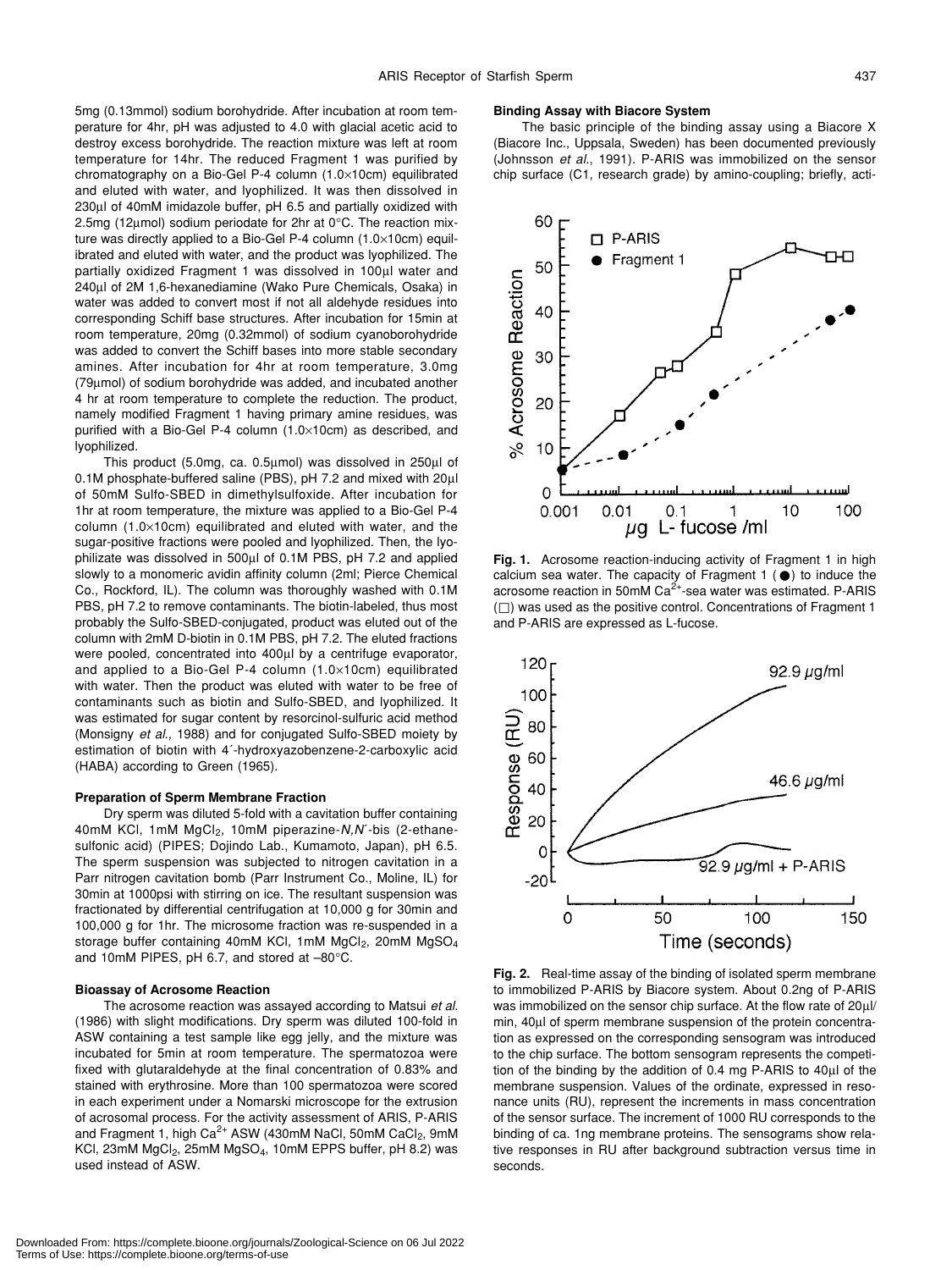5mg (0.13mmol) sodium borohydride. After incubation at room temperature for 4hr, pH was adjusted to 4.0 with glacial acetic acid to destroy excess borohydride. The reaction mixture was left at room temperature for 14hr. The reduced Fragment 1 was purified by chromatography on a Bio-Gel P-4 column (1.0×10cm) equilibrated and eluted with water, and lyophilized. It was then dissolved in 230µl of 40mM imidazole buffer, pH 6.5 and partially oxidized with 2.5mg (12µmol) sodium periodate for 2hr at 0°C. The reaction mixture was directly applied to a Bio-Gel P-4 column (1.0×10cm) equilibrated and eluted with water, and the product was lyophilized. The partially oxidized Fragment 1 was dissolved in 100µl water and 240µl of 2M 1,6-hexanediamine (Wako Pure Chemicals, Osaka) in water was added to convert most if not all aldehyde residues into corresponding Schiff base structures. After incubation for 15min at room temperature, 20mg (0.32mmol) of sodium cyanoborohydride was added to convert the Schiff bases into more stable secondary amines. After incubation for 4hr at room temperature, 3.0mg (79µmol) of sodium borohydride was added, and incubated another 4 hr at room temperature to complete the reduction. The product, namely modified Fragment 1 having primary amine residues, was purified with a Bio-Gel P-4 column (1.0×10cm) as described, and lyophilized.

This product (5.0mg, ca. 0.5µmol) was dissolved in 250µl of 0.1M phosphate-buffered saline (PBS), pH 7.2 and mixed with 20µl of 50mM Sulfo-SBED in dimethylsulfoxide. After incubation for 1hr at room temperature, the mixture was applied to a Bio-Gel P-4 column (1.0×10cm) equilibrated and eluted with water, and the sugar-positive fractions were pooled and lyophilized. Then, the lyophilizate was dissolved in 500µl of 0.1M PBS, pH 7.2 and applied slowly to a monomeric avidin affinity column (2ml; Pierce Chemical Co., Rockford, IL). The column was thoroughly washed with 0.1M PBS, pH 7.2 to remove contaminants. The biotin-labeled, thus most probably the Sulfo-SBED-conjugated, product was eluted out of the column with 2mM D-biotin in 0.1M PBS, pH 7.2. The eluted fractions were pooled, concentrated into 400µl by a centrifuge evaporator, and applied to a Bio-Gel P-4 column (1.0×10cm) equilibrated with water. Then the product was eluted with water to be free of contaminants such as biotin and Sulfo-SBED, and lyophilized. It was estimated for sugar content by resorcinol-sulfuric acid method (Monsigny *et al*., 1988) and for conjugated Sulfo-SBED moiety by estimation of biotin with 4´-hydroxyazobenzene-2-carboxylic acid (HABA) according to Green (1965).

#### **Preparation of Sperm Membrane Fraction**

Dry sperm was diluted 5-fold with a cavitation buffer containing 40mM KCI, 1mM MgCl<sub>2</sub>, 10mM piperazine-*N,N*<sup>-</sup>bis (2-ethanesulfonic acid) (PIPES; Dojindo Lab., Kumamoto, Japan), pH 6.5. The sperm suspension was subjected to nitrogen cavitation in a Parr nitrogen cavitation bomb (Parr Instrument Co., Moline, IL) for 30min at 1000psi with stirring on ice. The resultant suspension was fractionated by differential centrifugation at 10,000 g for 30min and 100,000 g for 1hr. The microsome fraction was re-suspended in a storage buffer containing 40mM KCl, 1mM MgCl<sub>2</sub>, 20mM MgSO<sub>4</sub> and 10mM PIPES, pH 6.7, and stored at –80°C.

## **Bioassay of Acrosome Reaction**

The acrosome reaction was assayed according to Matsui *et al*. (1986) with slight modifications. Dry sperm was diluted 100-fold in ASW containing a test sample like egg jelly, and the mixture was incubated for 5min at room temperature. The spermatozoa were fixed with glutaraldehyde at the final concentration of 0.83% and stained with erythrosine. More than 100 spermatozoa were scored in each experiment under a Nomarski microscope for the extrusion of acrosomal process. For the activity assessment of ARIS, P-ARIS and Fragment 1, high  $Ca^{2+}$  ASW (430mM NaCl, 50mM CaCl<sub>2</sub>, 9mM KCl, 23mM MgCl<sub>2</sub>, 25mM MgSO<sub>4</sub>, 10mM EPPS buffer, pH 8.2) was used instead of ASW.

#### **Binding Assay with Biacore System**

The basic principle of the binding assay using a Biacore X (Biacore Inc., Uppsala, Sweden) has been documented previously (Johnsson *et al*., 1991). P-ARIS was immobilized on the sensor chip surface (C1, research grade) by amino-coupling; briefly, acti-



Fig. 1. Acrosome reaction-inducing activity of Fragment 1 in high calcium sea water. The capacity of Fragment 1 ( ) to induce the acrosome reaction in 50mM  $Ca<sup>2+</sup>$ -sea water was estimated. P-ARIS ) was used as the positive control. Concentrations of Fragment 1 and P-ARIS are expressed as L-fucose.



**Fig. 2.** Real-time assay of the binding of isolated sperm membrane to immobilized P-ARIS by Biacore system. About 0.2ng of P-ARIS was immobilized on the sensor chip surface. At the flow rate of 20µl/ min, 40µl of sperm membrane suspension of the protein concentration as expressed on the corresponding sensogram was introduced to the chip surface. The bottom sensogram represents the competition of the binding by the addition of 0.4 mg P-ARIS to 40µl of the membrane suspension. Values of the ordinate, expressed in resonance units (RU), represent the increments in mass concentration of the sensor surface. The increment of 1000 RU corresponds to the binding of ca. 1ng membrane proteins. The sensograms show relative responses in RU after background subtraction versus time in seconds.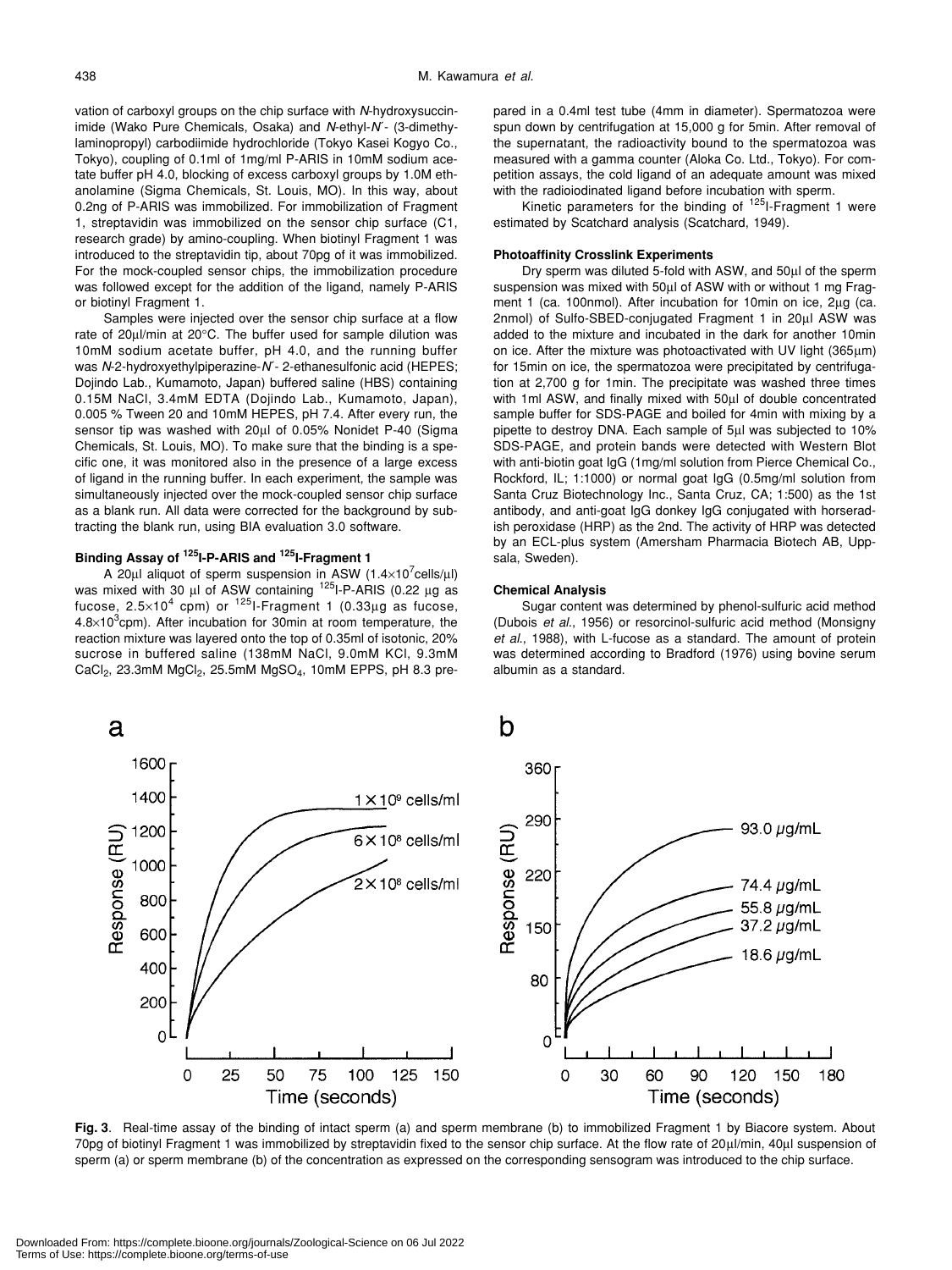vation of carboxyl groups on the chip surface with *N*-hydroxysuccinimide (Wako Pure Chemicals, Osaka) and *N*-ethyl-*N*´- (3-dimethylaminopropyl) carbodiimide hydrochloride (Tokyo Kasei Kogyo Co., Tokyo), coupling of 0.1ml of 1mg/ml P-ARIS in 10mM sodium acetate buffer pH 4.0, blocking of excess carboxyl groups by 1.0M ethanolamine (Sigma Chemicals, St. Louis, MO). In this way, about 0.2ng of P-ARIS was immobilized. For immobilization of Fragment 1, streptavidin was immobilized on the sensor chip surface (C1, research grade) by amino-coupling. When biotinyl Fragment 1 was introduced to the streptavidin tip, about 70pg of it was immobilized. For the mock-coupled sensor chips, the immobilization procedure was followed except for the addition of the ligand, namely P-ARIS or biotinyl Fragment 1.

Samples were injected over the sensor chip surface at a flow rate of 20µl/min at 20°C. The buffer used for sample dilution was 10mM sodium acetate buffer, pH 4.0, and the running buffer was *N*-2-hydroxyethylpiperazine-*N*´- 2-ethanesulfonic acid (HEPES; Dojindo Lab., Kumamoto, Japan) buffered saline (HBS) containing 0.15M NaCl, 3.4mM EDTA (Dojindo Lab., Kumamoto, Japan), 0.005 % Tween 20 and 10mM HEPES, pH 7.4. After every run, the sensor tip was washed with 20µl of 0.05% Nonidet P-40 (Sigma Chemicals, St. Louis, MO). To make sure that the binding is a specific one, it was monitored also in the presence of a large excess of ligand in the running buffer. In each experiment, the sample was simultaneously injected over the mock-coupled sensor chip surface as a blank run. All data were corrected for the background by subtracting the blank run, using BIA evaluation 3.0 software.

## **Binding Assay of 125I-P-ARIS and 125I-Fragment 1**

a

1600

1400

1200

1000

A 20µl aliquot of sperm suspension in ASW  $(1.4\times10^{7}$ cells/µl) was mixed with 30 µl of ASW containing <sup>125</sup>I-P-ARIS (0.22 µg as fucose,  $2.5 \times 10^4$  cpm) or <sup>125</sup>I-Fragment 1 (0.33µg as fucose,  $4.8\times10^{3}$ cpm). After incubation for 30 min at room temperature, the reaction mixture was layered onto the top of 0.35ml of isotonic, 20% sucrose in buffered saline (138mM NaCl, 9.0mM KCl, 9.3mM CaCl2, 23.3mM MgCl2, 25.5mM MgSO4, 10mM EPPS, pH 8.3 prepared in a 0.4ml test tube (4mm in diameter). Spermatozoa were spun down by centrifugation at 15,000 g for 5min. After removal of the supernatant, the radioactivity bound to the spermatozoa was measured with a gamma counter (Aloka Co. Ltd., Tokyo). For competition assays, the cold ligand of an adequate amount was mixed with the radioiodinated ligand before incubation with sperm.

Kinetic parameters for the binding of  $125$ I-Fragment 1 were estimated by Scatchard analysis (Scatchard, 1949).

## **Photoaffinity Crosslink Experiments**

Dry sperm was diluted 5-fold with ASW, and 50µl of the sperm suspension was mixed with 50µl of ASW with or without 1 mg Fragment 1 (ca. 100nmol). After incubation for 10min on ice, 2µg (ca. 2nmol) of Sulfo-SBED-conjugated Fragment 1 in 20µl ASW was added to the mixture and incubated in the dark for another 10min on ice. After the mixture was photoactivated with UV light (365µm) for 15min on ice, the spermatozoa were precipitated by centrifugation at 2,700 g for 1min. The precipitate was washed three times with 1ml ASW, and finally mixed with 50µl of double concentrated sample buffer for SDS-PAGE and boiled for 4min with mixing by a pipette to destroy DNA. Each sample of 5µl was subjected to 10% SDS-PAGE, and protein bands were detected with Western Blot with anti-biotin goat IgG (1mg/ml solution from Pierce Chemical Co., Rockford, IL; 1:1000) or normal goat IgG (0.5mg/ml solution from Santa Cruz Biotechnology Inc., Santa Cruz, CA; 1:500) as the 1st antibody, and anti-goat IgG donkey IgG conjugated with horseradish peroxidase (HRP) as the 2nd. The activity of HRP was detected by an ECL-plus system (Amersham Pharmacia Biotech AB, Uppsala, Sweden).

## **Chemical Analysis**

 $\mathbf b$ 

360

290

 $22C$ 

Sugar content was determined by phenol-sulfuric acid method (Dubois *et al*., 1956) or resorcinol-sulfuric acid method (Monsigny *et al*., 1988), with L-fucose as a standard. The amount of protein was determined according to Bradford (1976) using bovine serum albumin as a standard.

93.0  $\mu$ g/mL



 $1 \times 10^9$  cells/ml

 $6 \times 10^8$  cells/ml

**Fig. 3**. Real-time assay of the binding of intact sperm (a) and sperm membrane (b) to immobilized Fragment 1 by Biacore system. About 70pg of biotinyl Fragment 1 was immobilized by streptavidin fixed to the sensor chip surface. At the flow rate of 20µl/min, 40µl suspension of sperm (a) or sperm membrane (b) of the concentration as expressed on the corresponding sensogram was introduced to the chip surface.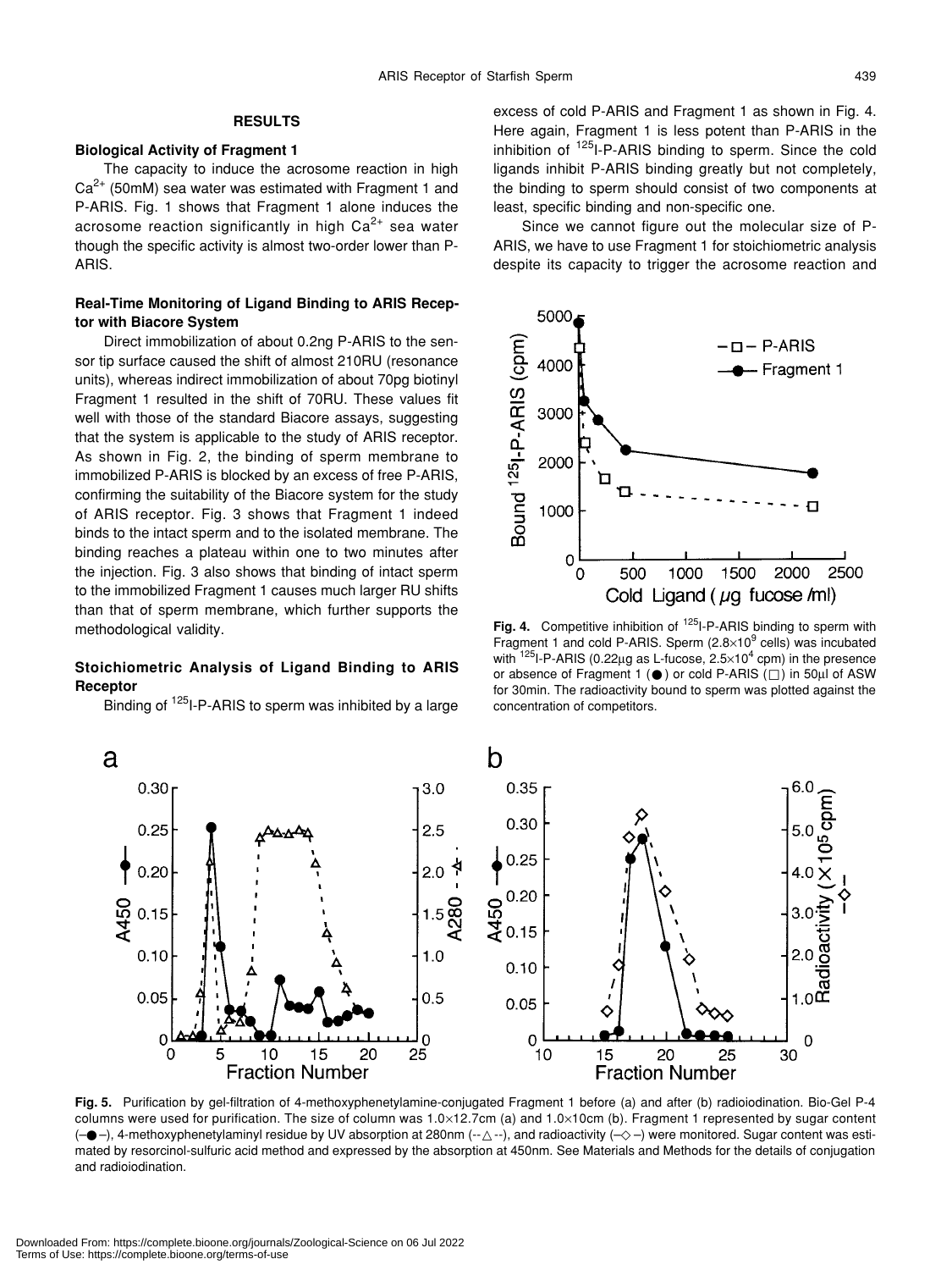## **RESULTS**

## **Biological Activity of Fragment 1**

The capacity to induce the acrosome reaction in high  $Ca<sup>2+</sup>$  (50mM) sea water was estimated with Fragment 1 and P-ARIS. Fig. 1 shows that Fragment 1 alone induces the acrosome reaction significantly in high  $Ca<sup>2+</sup>$  sea water though the specific activity is almost two-order lower than P-ARIS.

## **Real-Time Monitoring of Ligand Binding to ARIS Receptor with Biacore System**

Direct immobilization of about 0.2ng P-ARIS to the sensor tip surface caused the shift of almost 210RU (resonance units), whereas indirect immobilization of about 70pg biotinyl Fragment 1 resulted in the shift of 70RU. These values fit well with those of the standard Biacore assays, suggesting that the system is applicable to the study of ARIS receptor. As shown in Fig. 2, the binding of sperm membrane to immobilized P-ARIS is blocked by an excess of free P-ARIS, confirming the suitability of the Biacore system for the study of ARIS receptor. Fig. 3 shows that Fragment 1 indeed binds to the intact sperm and to the isolated membrane. The binding reaches a plateau within one to two minutes after the injection. Fig. 3 also shows that binding of intact sperm to the immobilized Fragment 1 causes much larger RU shifts than that of sperm membrane, which further supports the methodological validity.

## **Stoichiometric Analysis of Ligand Binding to ARIS Receptor**

Binding of <sup>125</sup>I-P-ARIS to sperm was inhibited by a large

excess of cold P-ARIS and Fragment 1 as shown in Fig. 4. Here again, Fragment 1 is less potent than P-ARIS in the inhibition of  $125$ I-P-ARIS binding to sperm. Since the cold ligands inhibit P-ARIS binding greatly but not completely, the binding to sperm should consist of two components at least, specific binding and non-specific one.

Since we cannot figure out the molecular size of P-ARIS, we have to use Fragment 1 for stoichiometric analysis despite its capacity to trigger the acrosome reaction and



Fig. 4. Competitive inhibition of <sup>125</sup>I-P-ARIS binding to sperm with Fragment 1 and cold P-ARIS. Sperm (2.8×10<sup>9</sup> cells) was incubated with  $^{125}$ I-P-ARIS (0.22µg as L-fucose, 2.5×10<sup>4</sup> cpm) in the presence or absence of Fragment 1 ( ) or cold P-ARIS ( ) in 50µl of ASW for 30min. The radioactivity bound to sperm was plotted against the concentration of competitors.



**Fig. 5.** Purification by gel-filtration of 4-methoxyphenetylamine-conjugated Fragment 1 before (a) and after (b) radioiodination. Bio-Gel P-4 columns were used for purification. The size of column was 1.0×12.7cm (a) and 1.0×10cm (b). Fragment 1 represented by sugar content (– –), 4-methoxyphenetylaminyl residue by UV absorption at 280nm (-- --), and radioactivity (– –) were monitored. Sugar content was estimated by resorcinol-sulfuric acid method and expressed by the absorption at 450nm. See Materials and Methods for the details of conjugation and radioiodination.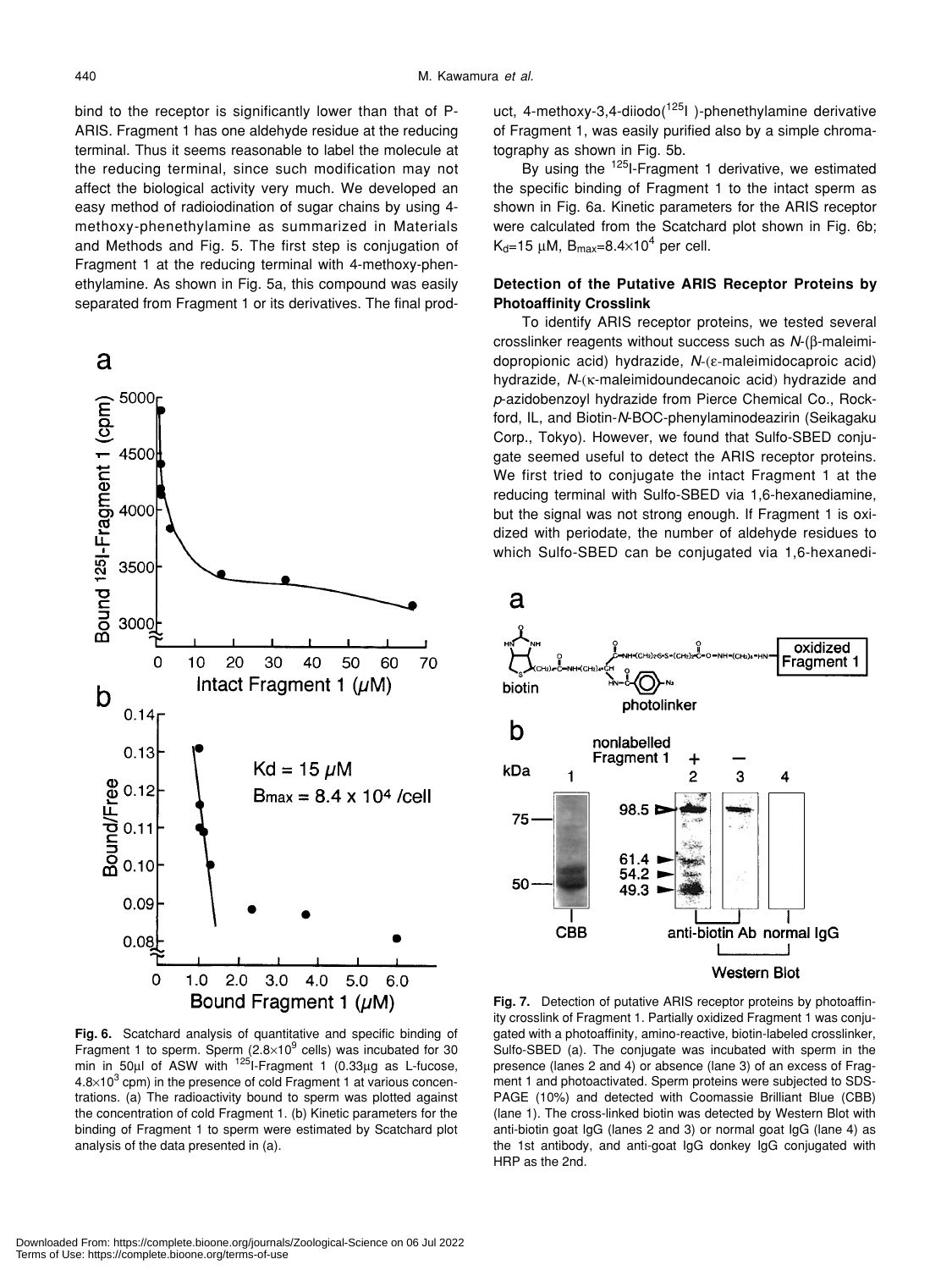bind to the receptor is significantly lower than that of P-ARIS. Fragment 1 has one aldehyde residue at the reducing terminal. Thus it seems reasonable to label the molecule at the reducing terminal, since such modification may not affect the biological activity very much. We developed an easy method of radioiodination of sugar chains by using 4 methoxy-phenethylamine as summarized in Materials and Methods and Fig. 5. The first step is conjugation of Fragment 1 at the reducing terminal with 4-methoxy-phenethylamine. As shown in Fig. 5a, this compound was easily separated from Fragment 1 or its derivatives. The final prod-



**Fig. 6.** Scatchard analysis of quantitative and specific binding of Fragment 1 to sperm. Sperm (2.8 $\times$ 10<sup>9</sup> cells) was incubated for 30 min in 50 $\mu$ l of ASW with  $125$ <sup>1-Fragment 1</sup> (0.33 $\mu$ g as L-fucose,  $4.8\times10^{3}$  cpm) in the presence of cold Fragment 1 at various concentrations. (a) The radioactivity bound to sperm was plotted against the concentration of cold Fragment 1. (b) Kinetic parameters for the binding of Fragment 1 to sperm were estimated by Scatchard plot analysis of the data presented in (a).

uct, 4-methoxy-3,4-diiodo( $125$ I)-phenethylamine derivative of Fragment 1, was easily purified also by a simple chromatography as shown in Fig. 5b.

By using the  $125$ I-Fragment 1 derivative, we estimated the specific binding of Fragment 1 to the intact sperm as shown in Fig. 6a. Kinetic parameters for the ARIS receptor were calculated from the Scatchard plot shown in Fig. 6b;  $\rm K_d$ =15 µM,  $\rm B_{max}$ =8.4 $\times$ 10<sup>4</sup> per cell.

## **Detection of the Putative ARIS Receptor Proteins by Photoaffinity Crosslink**

To identify ARIS receptor proteins, we tested several crosslinker reagents without success such as *N*-(β-maleimidopropionic acid) hydrazide, *N*-(ε-maleimidocaproic acid) hydrazide, *N*-(κ-maleimidoundecanoic acid) hydrazide and *p*-azidobenzoyl hydrazide from Pierce Chemical Co., Rockford, IL, and Biotin-*N*-BOC-phenylaminodeazirin (Seikagaku Corp., Tokyo). However, we found that Sulfo-SBED conjugate seemed useful to detect the ARIS receptor proteins. We first tried to conjugate the intact Fragment 1 at the reducing terminal with Sulfo-SBED via 1,6-hexanediamine, but the signal was not strong enough. If Fragment 1 is oxidized with periodate, the number of aldehyde residues to which Sulfo-SBED can be conjugated via 1,6-hexanedi-



**Fig. 7.** Detection of putative ARIS receptor proteins by photoaffinity crosslink of Fragment 1. Partially oxidized Fragment 1 was conjugated with a photoaffinity, amino-reactive, biotin-labeled crosslinker, Sulfo-SBED (a). The conjugate was incubated with sperm in the presence (lanes 2 and 4) or absence (lane 3) of an excess of Fragment 1 and photoactivated. Sperm proteins were subjected to SDS-PAGE (10%) and detected with Coomassie Brilliant Blue (CBB) (lane 1). The cross-linked biotin was detected by Western Blot with anti-biotin goat IgG (lanes 2 and 3) or normal goat IgG (lane 4) as the 1st antibody, and anti-goat IgG donkey IgG conjugated with HRP as the 2nd.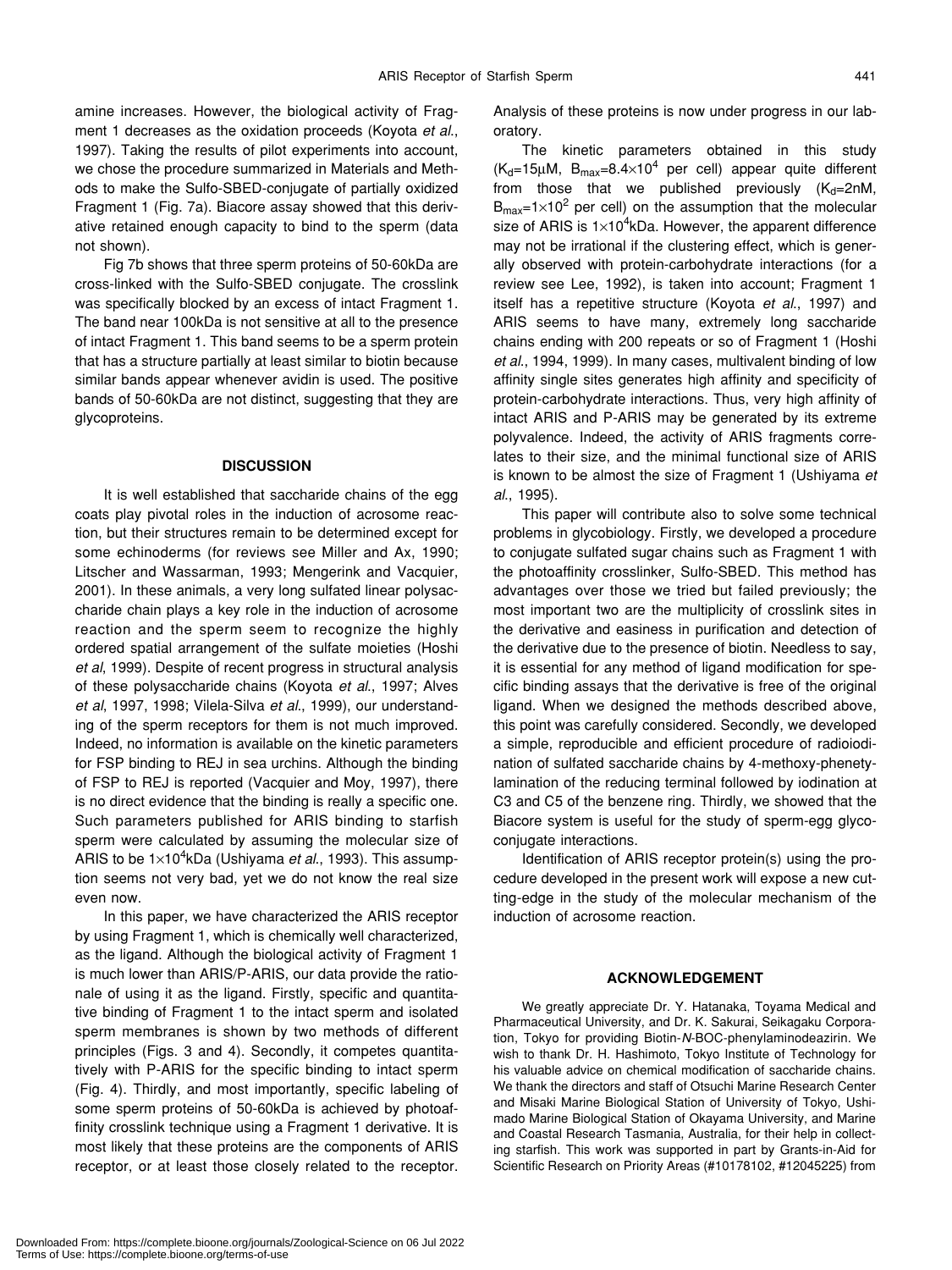amine increases. However, the biological activity of Fragment 1 decreases as the oxidation proceeds (Koyota *et al*., 1997). Taking the results of pilot experiments into account, we chose the procedure summarized in Materials and Methods to make the Sulfo-SBED-conjugate of partially oxidized Fragment 1 (Fig. 7a). Biacore assay showed that this derivative retained enough capacity to bind to the sperm (data not shown).

Fig 7b shows that three sperm proteins of 50-60kDa are cross-linked with the Sulfo-SBED conjugate. The crosslink was specifically blocked by an excess of intact Fragment 1. The band near 100kDa is not sensitive at all to the presence of intact Fragment 1. This band seems to be a sperm protein that has a structure partially at least similar to biotin because similar bands appear whenever avidin is used. The positive bands of 50-60kDa are not distinct, suggesting that they are glycoproteins.

## **DISCUSSION**

It is well established that saccharide chains of the egg coats play pivotal roles in the induction of acrosome reaction, but their structures remain to be determined except for some echinoderms (for reviews see Miller and Ax, 1990; Litscher and Wassarman, 1993; Mengerink and Vacquier, 2001). In these animals, a very long sulfated linear polysaccharide chain plays a key role in the induction of acrosome reaction and the sperm seem to recognize the highly ordered spatial arrangement of the sulfate moieties (Hoshi *et al*, 1999). Despite of recent progress in structural analysis of these polysaccharide chains (Koyota *et al*., 1997; Alves *et al*, 1997, 1998; Vilela-Silva *et al*., 1999), our understanding of the sperm receptors for them is not much improved. Indeed, no information is available on the kinetic parameters for FSP binding to REJ in sea urchins. Although the binding of FSP to REJ is reported (Vacquier and Moy, 1997), there is no direct evidence that the binding is really a specific one. Such parameters published for ARIS binding to starfish sperm were calculated by assuming the molecular size of ARIS to be 1×10<sup>4</sup>kDa (Ushiyama *et al.*, 1993). This assumption seems not very bad, yet we do not know the real size even now.

In this paper, we have characterized the ARIS receptor by using Fragment 1, which is chemically well characterized, as the ligand. Although the biological activity of Fragment 1 is much lower than ARIS/P-ARIS, our data provide the rationale of using it as the ligand. Firstly, specific and quantitative binding of Fragment 1 to the intact sperm and isolated sperm membranes is shown by two methods of different principles (Figs. 3 and 4). Secondly, it competes quantitatively with P-ARIS for the specific binding to intact sperm (Fig. 4). Thirdly, and most importantly, specific labeling of some sperm proteins of 50-60kDa is achieved by photoaffinity crosslink technique using a Fragment 1 derivative. It is most likely that these proteins are the components of ARIS receptor, or at least those closely related to the receptor. Analysis of these proteins is now under progress in our laboratory.

The kinetic parameters obtained in this study  $(K_d=15\mu M, B_{max}=8.4\times10^4$  per cell) appear quite different from those that we published previously  $(K_d=2nM,$  $B_{\text{max}}$ =1×10<sup>2</sup> per cell) on the assumption that the molecular size of ARIS is 1×10<sup>4</sup>kDa. However, the apparent difference may not be irrational if the clustering effect, which is generally observed with protein-carbohydrate interactions (for a review see Lee, 1992), is taken into account; Fragment 1 itself has a repetitive structure (Koyota *et al*., 1997) and ARIS seems to have many, extremely long saccharide chains ending with 200 repeats or so of Fragment 1 (Hoshi *et al*., 1994, 1999). In many cases, multivalent binding of low affinity single sites generates high affinity and specificity of protein-carbohydrate interactions. Thus, very high affinity of intact ARIS and P-ARIS may be generated by its extreme polyvalence. Indeed, the activity of ARIS fragments correlates to their size, and the minimal functional size of ARIS is known to be almost the size of Fragment 1 (Ushiyama *et al*., 1995).

This paper will contribute also to solve some technical problems in glycobiology. Firstly, we developed a procedure to conjugate sulfated sugar chains such as Fragment 1 with the photoaffinity crosslinker, Sulfo-SBED. This method has advantages over those we tried but failed previously; the most important two are the multiplicity of crosslink sites in the derivative and easiness in purification and detection of the derivative due to the presence of biotin. Needless to say, it is essential for any method of ligand modification for specific binding assays that the derivative is free of the original ligand. When we designed the methods described above, this point was carefully considered. Secondly, we developed a simple, reproducible and efficient procedure of radioiodination of sulfated saccharide chains by 4-methoxy-phenetylamination of the reducing terminal followed by iodination at C3 and C5 of the benzene ring. Thirdly, we showed that the Biacore system is useful for the study of sperm-egg glycoconjugate interactions.

Identification of ARIS receptor protein(s) using the procedure developed in the present work will expose a new cutting-edge in the study of the molecular mechanism of the induction of acrosome reaction.

## **ACKNOWLEDGEMENT**

We greatly appreciate Dr. Y. Hatanaka, Toyama Medical and Pharmaceutical University, and Dr. K. Sakurai, Seikagaku Corporation, Tokyo for providing Biotin-*N*-BOC-phenylaminodeazirin. We wish to thank Dr. H. Hashimoto, Tokyo Institute of Technology for his valuable advice on chemical modification of saccharide chains. We thank the directors and staff of Otsuchi Marine Research Center and Misaki Marine Biological Station of University of Tokyo, Ushimado Marine Biological Station of Okayama University, and Marine and Coastal Research Tasmania, Australia, for their help in collecting starfish. This work was supported in part by Grants-in-Aid for Scientific Research on Priority Areas (#10178102, #12045225) from